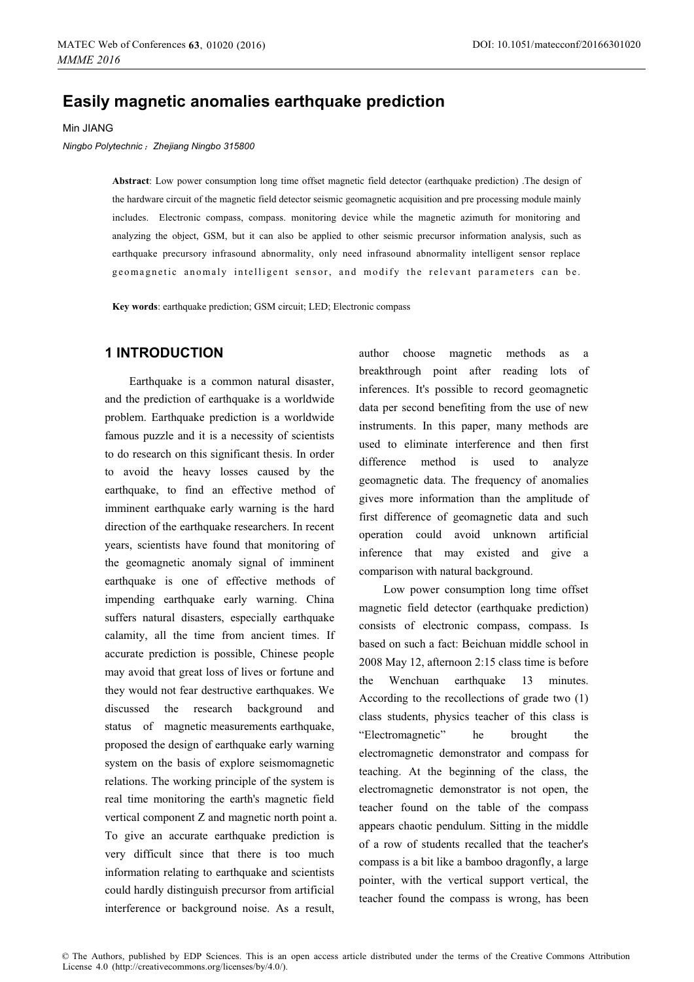# **Easily magnetic anomalies earthquake prediction**

Min JIANG

*Ningbo Polytechnic*˗*Zhejiang Ningbo 315800*

**Abstract**: Low power consumption long time offset magnetic field detector (earthquake prediction) .The design of the hardware circuit of the magnetic field detector seismic geomagnetic acquisition and pre processing module mainly includes. Electronic compass, compass. monitoring device while the magnetic azimuth for monitoring and analyzing the object, GSM, but it can also be applied to other seismic precursor information analysis, such as earthquake precursory infrasound abnormality, only need infrasound abnormality intelligent sensor replace geomagnetic anomaly intelligent sensor, and modify the relevant parameters can be.

**Key words**: earthquake prediction; GSM circuit; LED; Electronic compass

## **1 INTRODUCTION**

Earthquake is a common natural disaster, and the prediction of earthquake is a worldwide problem. Earthquake prediction is a worldwide famous puzzle and it is a necessity of scientists to do research on this significant thesis. In order to avoid the heavy losses caused by the earthquake, to find an effective method of imminent earthquake early warning is the hard direction of the earthquake researchers. In recent years, scientists have found that monitoring of the geomagnetic anomaly signal of imminent earthquake is one of effective methods of impending earthquake early warning. China suffers natural disasters, especially earthquake calamity, all the time from ancient times. If accurate prediction is possible, Chinese people may avoid that great loss of lives or fortune and they would not fear destructive earthquakes. We discussed the research background and status of magnetic measurements earthquake, proposed the design of earthquake early warning system on the basis of explore seismomagnetic relations. The working principle of the system is real time monitoring the earth's magnetic field vertical component Z and magnetic north point a. To give an accurate earthquake prediction is very difficult since that there is too much information relating to earthquake and scientists could hardly distinguish precursor from artificial interference or background noise. As a result,

author choose magnetic methods as a breakthrough point after reading lots of inferences. It's possible to record geomagnetic data per second benefiting from the use of new instruments. In this paper, many methods are used to eliminate interference and then first difference method is used to analyze geomagnetic data. The frequency of anomalies gives more information than the amplitude of first difference of geomagnetic data and such operation could avoid unknown artificial inference that may existed and give a comparison with natural background.

Low power consumption long time offset magnetic field detector (earthquake prediction) consists of electronic compass, compass. Is based on such a fact: Beichuan middle school in 2008 May 12, afternoon 2:15 class time is before the Wenchuan earthquake 13 minutes. According to the recollections of grade two (1) class students, physics teacher of this class is "Electromagnetic" he brought the electromagnetic demonstrator and compass for teaching. At the beginning of the class, the electromagnetic demonstrator is not open, the teacher found on the table of the compass appears chaotic pendulum. Sitting in the middle of a row of students recalled that the teacher's compass is a bit like a bamboo dragonfly, a large pointer, with the vertical support vertical, the teacher found the compass is wrong, has been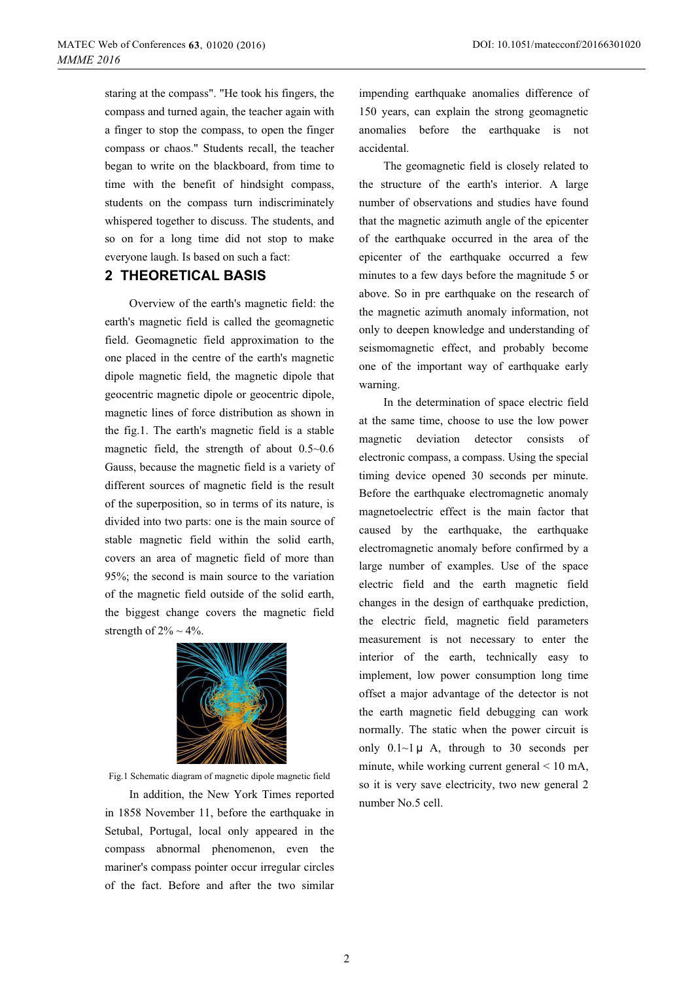staring at the compass". "He took his fingers, the compass and turned again, the teacher again with a finger to stop the compass, to open the finger compass or chaos." Students recall, the teacher began to write on the blackboard, from time to time with the benefit of hindsight compass, students on the compass turn indiscriminately whispered together to discuss. The students, and so on for a long time did not stop to make everyone laugh. Is based on such a fact:

### **2 THEORETICAL BASIS**

Overview of the earth's magnetic field: the earth's magnetic field is called the geomagnetic field. Geomagnetic field approximation to the one placed in the centre of the earth's magnetic dipole magnetic field, the magnetic dipole that geocentric magnetic dipole or geocentric dipole, magnetic lines of force distribution as shown in the fig.1. The earth's magnetic field is a stable magnetic field, the strength of about 0.5~0.6 Gauss, because the magnetic field is a variety of different sources of magnetic field is the result of the superposition, so in terms of its nature, is divided into two parts: one is the main source of stable magnetic field within the solid earth, covers an area of magnetic field of more than 95%; the second is main source to the variation of the magnetic field outside of the solid earth, the biggest change covers the magnetic field strength of  $2\% \sim 4\%$ .



Fig.1 Schematic diagram of magnetic dipole magnetic field

In addition, the New York Times reported in 1858 November 11, before the earthquake in Setubal, Portugal, local only appeared in the compass abnormal phenomenon, even the mariner's compass pointer occur irregular circles of the fact. Before and after the two similar impending earthquake anomalies difference of 150 years, can explain the strong geomagnetic anomalies before the earthquake is not accidental.

The geomagnetic field is closely related to the structure of the earth's interior. A large number of observations and studies have found that the magnetic azimuth angle of the epicenter of the earthquake occurred in the area of the epicenter of the earthquake occurred a few minutes to a few days before the magnitude 5 or above. So in pre earthquake on the research of the magnetic azimuth anomaly information, not only to deepen knowledge and understanding of seismomagnetic effect, and probably become one of the important way of earthquake early warning.

In the determination of space electric field at the same time, choose to use the low power magnetic deviation detector consists of electronic compass, a compass. Using the special timing device opened 30 seconds per minute. Before the earthquake electromagnetic anomaly magnetoelectric effect is the main factor that caused by the earthquake, the earthquake electromagnetic anomaly before confirmed by a large number of examples. Use of the space electric field and the earth magnetic field changes in the design of earthquake prediction, the electric field, magnetic field parameters measurement is not necessary to enter the interior of the earth, technically easy to implement, low power consumption long time offset a major advantage of the detector is not the earth magnetic field debugging can work normally. The static when the power circuit is only  $0.1 \sim 1 \mu$  A, through to 30 seconds per minute, while working current general < 10 mA, so it is very save electricity, two new general 2 number No.5 cell.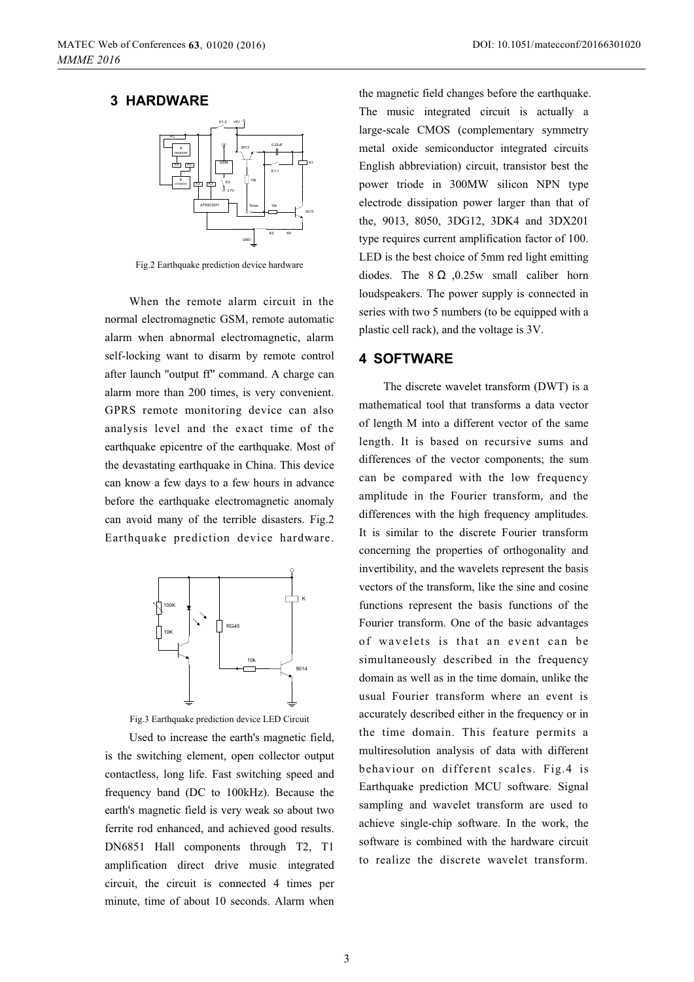### **3 HARDWARE**



Fig.2 Earthquake prediction device hardware

When the remote alarm circuit in the normal electromagnetic GSM, remote automatic alarm when abnormal electromagnetic, alarm self-locking want to disarm by remote control after launch "output ff" command. A charge can alarm more than 200 times, is very convenient. GPRS remote monitoring device can also analysis level and the exact time of the earthquake epicentre of the earthquake. Most of the devastating earthquake in China. This device can know a few days to a few hours in advance before the earthquake electromagnetic anomaly can avoid many of the terrible disasters. Fig.2 Earthquake prediction device hardware.



Fig.3 Earthquake prediction device LED Circuit

Used to increase the earth's magnetic field, is the switching element, open collector output contactless, long life. Fast switching speed and frequency band (DC to 100kHz). Because the earth's magnetic field is very weak so about two ferrite rod enhanced, and achieved good results. DN6851 Hall components through T2, T1 amplification direct drive music integrated circuit, the circuit is connected 4 times per minute, time of about 10 seconds. Alarm when

the magnetic field changes before the earthquake. The music integrated circuit is actually a large-scale CMOS (complementary symmetry metal oxide semiconductor integrated circuits English abbreviation) circuit, transistor best the power triode in 300MW silicon NPN type electrode dissipation power larger than that of the, 9013, 8050, 3DG12, 3DK4 and 3DX201 type requires current amplification factor of 100. LED is the best choice of 5mm red light emitting diodes. The  $8 \Omega$  , 0.25w small caliber horn loudspeakers. The power supply is connected in series with two 5 numbers (to be equipped with a plastic cell rack), and the voltage is 3V.

#### **4 SOFTWARE**

The discrete wavelet transform (DWT) is a mathematical tool that transforms a data vector of length M into a different vector of the same length. It is based on recursive sums and differences of the vector components; the sum can be compared with the low frequency amplitude in the Fourier transform, and the differences with the high frequency amplitudes. It is similar to the discrete Fourier transform concerning the properties of orthogonality and invertibility, and the wavelets represent the basis vectors of the transform, like the sine and cosine functions represent the basis functions of the Fourier transform. One of the basic advantages of wavelets is that an event can be simultaneously described in the frequency domain as well as in the time domain, unlike the usual Fourier transform where an event is accurately described either in the frequency or in the time domain. This feature permits a multiresolution analysis of data with different behaviour on different scales. Fig.4 is Earthquake prediction MCU software. Signal sampling and wavelet transform are used to achieve single-chip software. In the work, the software is combined with the hardware circuit to realize the discrete wavelet transform.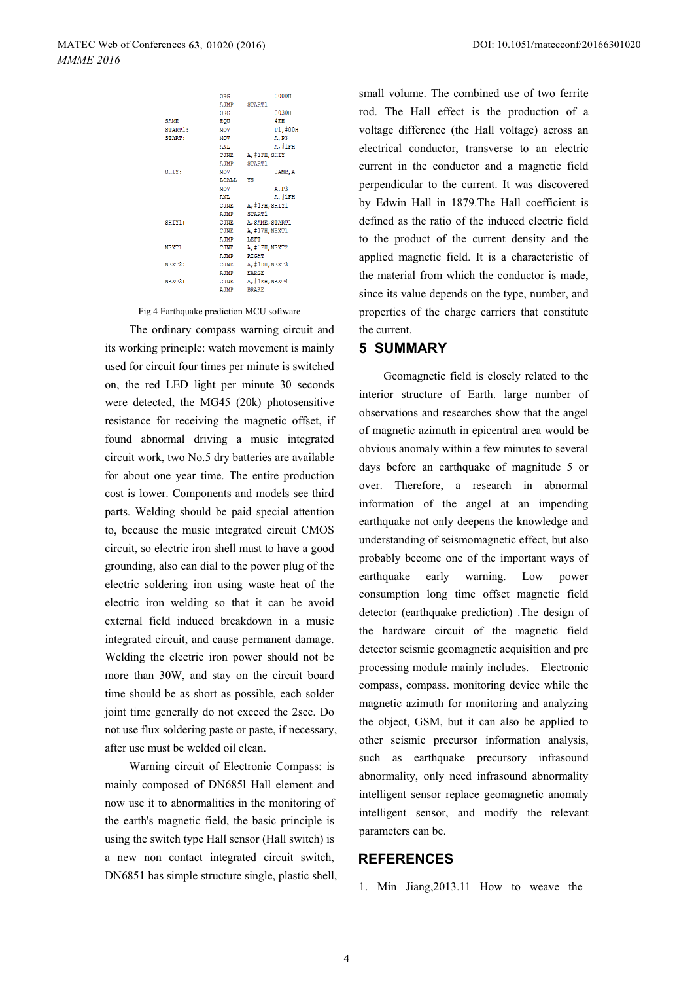|                     | <b>ORG</b>   | 0000H           |
|---------------------|--------------|-----------------|
|                     | AJMP         | START1          |
|                     | <b>ORG</b>   | 0030H           |
| <b>SAME</b>         | <b>EOU</b>   | $4E$ H          |
| START1:             | <b>MOV</b>   | P1,#00H         |
| <b>START:</b>       | MOV          | A.P3            |
|                     | <b>ANL</b>   | A. #1FH         |
|                     | <b>CJNE</b>  | A, #1FH, SHIY   |
|                     | A.TMP        | START1          |
| SHIY:               | MOV          | SAME, A         |
|                     | LCALL        | YS              |
|                     | MOV          | A.P3            |
|                     | ANL          | A, #1FH         |
|                     | <b>CJNE</b>  | A, #1FH, SHIY1  |
|                     | AJMP         | START1          |
| SHIY1:              | <b>CJNE</b>  | A. SAME. START1 |
|                     | CJNE         | A. #17H. NEXT1  |
|                     | <b>A.JMP</b> | LEFT            |
| NEXT1:              | CJNE         | A. #OFH. NEXT2  |
|                     | AJMP         | <b>RIGHT</b>    |
| NEXT <sub>2</sub> : | <b>CJNE</b>  | A. #1DH. NEXT3  |
|                     | AJMP         | <b>EARGE</b>    |
| NEXT3:              | <b>CJNE</b>  | A, #1EH, NEXT4  |
|                     | AJMP         | <b>BRAKE</b>    |

Fig.4 Earthquake prediction MCU software

The ordinary compass warning circuit and its working principle: watch movement is mainly used for circuit four times per minute is switched on, the red LED light per minute 30 seconds were detected, the MG45 (20k) photosensitive resistance for receiving the magnetic offset, if found abnormal driving a music integrated circuit work, two No.5 dry batteries are available for about one year time. The entire production cost is lower. Components and models see third parts. Welding should be paid special attention to, because the music integrated circuit CMOS circuit, so electric iron shell must to have a good grounding, also can dial to the power plug of the electric soldering iron using waste heat of the electric iron welding so that it can be avoid external field induced breakdown in a music integrated circuit, and cause permanent damage. Welding the electric iron power should not be more than 30W, and stay on the circuit board time should be as short as possible, each solder joint time generally do not exceed the 2sec. Do not use flux soldering paste or paste, if necessary, after use must be welded oil clean.

Warning circuit of Electronic Compass: is mainly composed of DN685l Hall element and now use it to abnormalities in the monitoring of the earth's magnetic field, the basic principle is using the switch type Hall sensor (Hall switch) is a new non contact integrated circuit switch, DN6851 has simple structure single, plastic shell, small volume. The combined use of two ferrite rod. The Hall effect is the production of a voltage difference (the Hall voltage) across an electrical conductor, transverse to an electric current in the conductor and a magnetic field perpendicular to the current. It was discovered by Edwin Hall in 1879.The Hall coefficient is defined as the ratio of the induced electric field to the product of the current density and the applied magnetic field. It is a characteristic of the material from which the conductor is made, since its value depends on the type, number, and properties of the charge carriers that constitute the current.

### **5 SUMMARY**

Geomagnetic field is closely related to the interior structure of Earth. large number of observations and researches show that the angel of magnetic azimuth in epicentral area would be obvious anomaly within a few minutes to several days before an earthquake of magnitude 5 or over. Therefore, a research in abnormal information of the angel at an impending earthquake not only deepens the knowledge and understanding of seismomagnetic effect, but also probably become one of the important ways of earthquake early warning. Low power consumption long time offset magnetic field detector (earthquake prediction) .The design of the hardware circuit of the magnetic field detector seismic geomagnetic acquisition and pre processing module mainly includes. Electronic compass, compass. monitoring device while the magnetic azimuth for monitoring and analyzing the object, GSM, but it can also be applied to other seismic precursor information analysis, such as earthquake precursory infrasound abnormality, only need infrasound abnormality intelligent sensor replace geomagnetic anomaly intelligent sensor, and modify the relevant parameters can be.

### **REFERENCES**

1. Min Jiang,2013.11 How to weave the